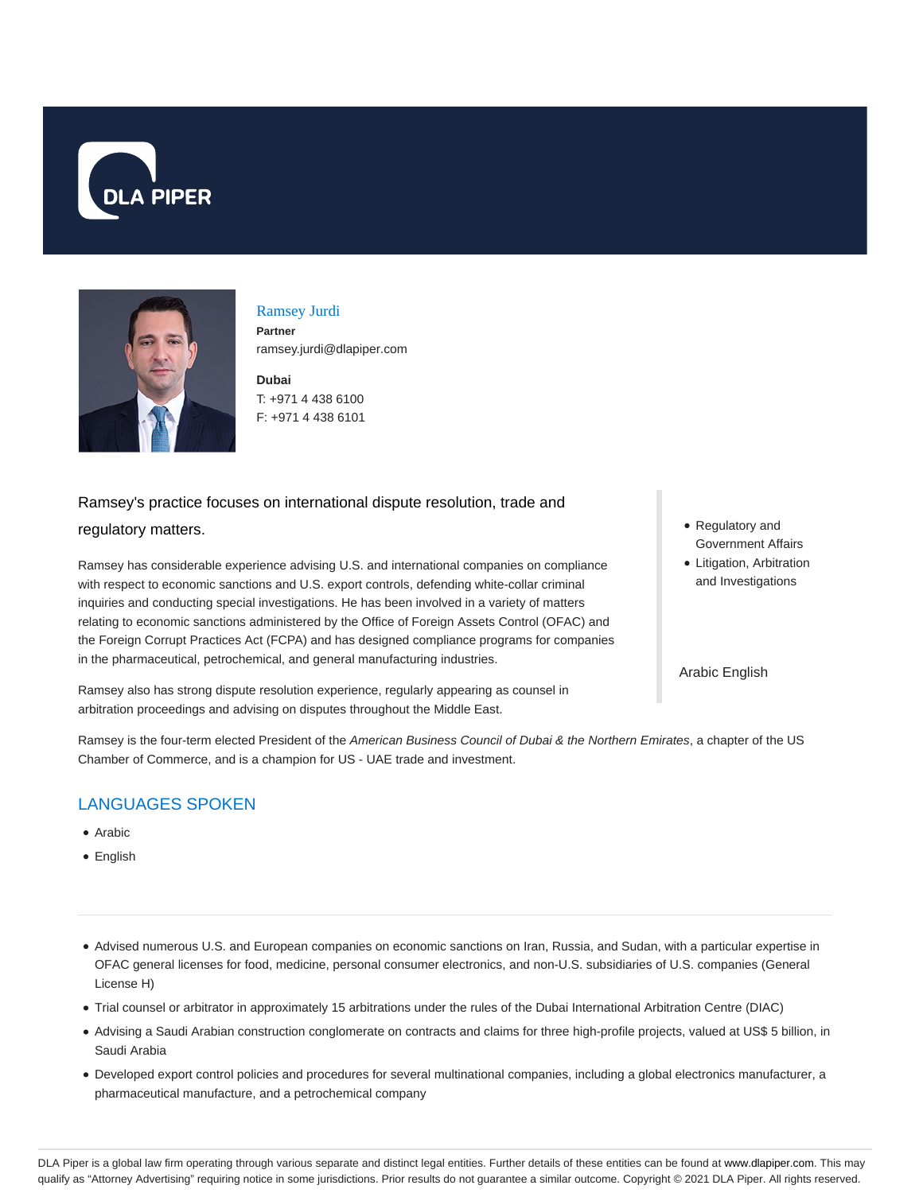



Ramsey Jurdi **Partner** ramsey.jurdi@dlapiper.com

**Dubai** T: +971 4 438 6100 F: +971 4 438 6101

# Ramsey's practice focuses on international dispute resolution, trade and

#### regulatory matters.

Ramsey has considerable experience advising U.S. and international companies on compliance with respect to economic sanctions and U.S. export controls, defending white-collar criminal inquiries and conducting special investigations. He has been involved in a variety of matters relating to economic sanctions administered by the Office of Foreign Assets Control (OFAC) and the Foreign Corrupt Practices Act (FCPA) and has designed compliance programs for companies in the pharmaceutical, petrochemical, and general manufacturing industries.

Ramsey also has strong dispute resolution experience, regularly appearing as counsel in arbitration proceedings and advising on disputes throughout the Middle East.

Regulatory and Government Affairs

Litigation, Arbitration and Investigations

Arabic English

Ramsey is the four-term elected President of the American Business Council of Dubai & the Northern Emirates, a chapter of the US Chamber of Commerce, and is a champion for US - UAE trade and investment.

# LANGUAGES SPOKEN

- Arabic
- English
- Advised numerous U.S. and European companies on economic sanctions on Iran, Russia, and Sudan, with a particular expertise in OFAC general licenses for food, medicine, personal consumer electronics, and non-U.S. subsidiaries of U.S. companies (General License H)
- Trial counsel or arbitrator in approximately 15 arbitrations under the rules of the Dubai International Arbitration Centre (DIAC)
- Advising a Saudi Arabian construction conglomerate on contracts and claims for three high-profile projects, valued at US\$ 5 billion, in Saudi Arabia
- Developed export control policies and procedures for several multinational companies, including a global electronics manufacturer, a pharmaceutical manufacture, and a petrochemical company

DLA Piper is a global law firm operating through various separate and distinct legal entities. Further details of these entities can be found at www.dlapiper.com. This may qualify as "Attorney Advertising" requiring notice in some jurisdictions. Prior results do not guarantee a similar outcome. Copyright @ 2021 DLA Piper. All rights reserved.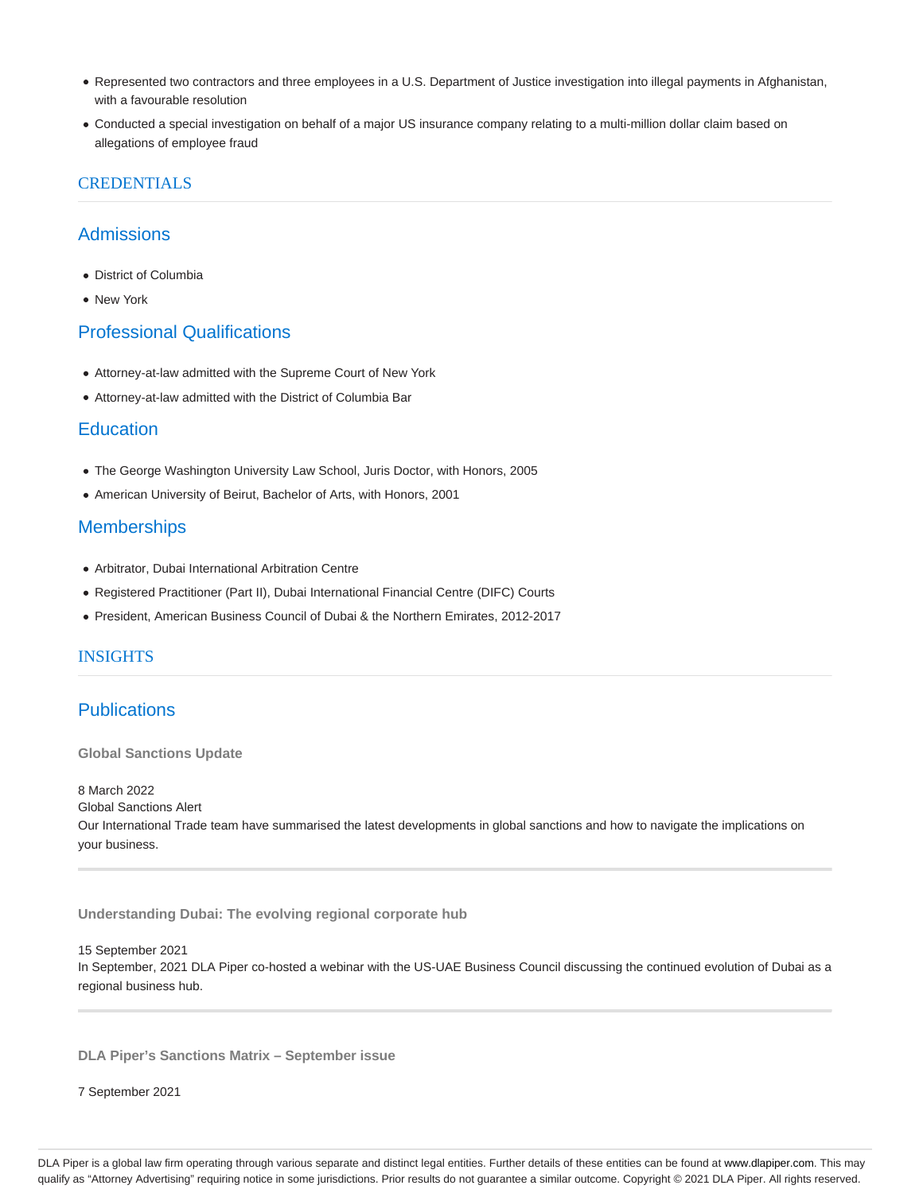- Represented two contractors and three employees in a U.S. Department of Justice investigation into illegal payments in Afghanistan, with a favourable resolution
- Conducted a special investigation on behalf of a major US insurance company relating to a multi-million dollar claim based on allegations of employee fraud

#### **CREDENTIALS**

### **Admissions**

- District of Columbia
- New York

## Professional Qualifications

- Attorney-at-law admitted with the Supreme Court of New York
- Attorney-at-law admitted with the District of Columbia Bar

### **Education**

- The George Washington University Law School, Juris Doctor, with Honors, 2005
- American University of Beirut, Bachelor of Arts, with Honors, 2001

#### **Memberships**

- Arbitrator, Dubai International Arbitration Centre
- Registered Practitioner (Part II), Dubai International Financial Centre (DIFC) Courts
- President, American Business Council of Dubai & the Northern Emirates, 2012-2017

#### INSIGHTS

## **Publications**

**Global Sanctions Update**

8 March 2022

Global Sanctions Alert

Our International Trade team have summarised the latest developments in global sanctions and how to navigate the implications on your business.

**Understanding Dubai: The evolving regional corporate hub**

15 September 2021

In September, 2021 DLA Piper co-hosted a webinar with the US-UAE Business Council discussing the continued evolution of Dubai as a regional business hub.

**DLA Piper's Sanctions Matrix – September issue**

7 September 2021

DLA Piper is a global law firm operating through various separate and distinct legal entities. Further details of these entities can be found at www.dlapiper.com. This may qualify as "Attorney Advertising" requiring notice in some jurisdictions. Prior results do not guarantee a similar outcome. Copyright @ 2021 DLA Piper. All rights reserved.